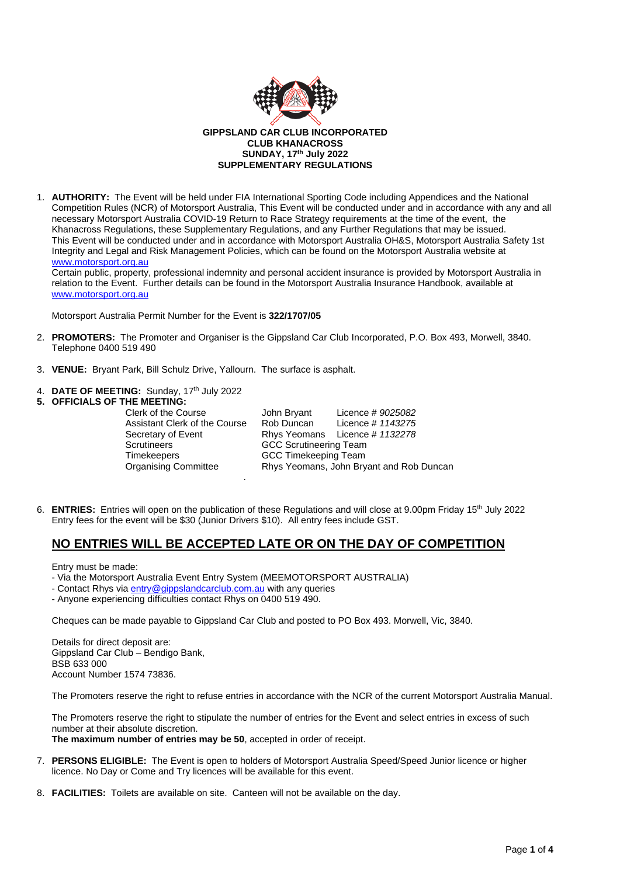

# **GIPPSLAND CAR CLUB INCORPORATED CLUB KHANACROSS SUNDAY, 17th July 2022 SUPPLEMENTARY REGULATIONS**

1. **AUTHORITY:** The Event will be held under FIA International Sporting Code including Appendices and the National Competition Rules (NCR) of Motorsport Australia, This Event will be conducted under and in accordance with any and all necessary Motorsport Australia COVID-19 Return to Race Strategy requirements at the time of the event, the Khanacross Regulations, these Supplementary Regulations, and any Further Regulations that may be issued. This Event will be conducted under and in accordance with Motorsport Australia OH&S, Motorsport Australia Safety 1st Integrity and Legal and Risk Management Policies, which can be found on the Motorsport Australia website at [www.motorsport.org.au](http://www.motorsport.org.au/)

Certain public, property, professional indemnity and personal accident insurance is provided by Motorsport Australia in relation to the Event. Further details can be found in the Motorsport Australia Insurance Handbook, available at [www.motorsport.org.au](http://www.motorsport.org.au/)

Motorsport Australia Permit Number for the Event is **322/1707/05**

- 2. **PROMOTERS:** The Promoter and Organiser is the Gippsland Car Club Incorporated, P.O. Box 493, Morwell, 3840. Telephone 0400 519 490
- 3. **VENUE:** Bryant Park, Bill Schulz Drive, Yallourn. The surface is asphalt.
- 4. **DATE OF MEETING:** Sunday, 17<sup>th</sup> July 2022

# **5. OFFICIALS OF THE MEETING:**

Scrutineers GCC Scrutineering Team<br>Timekeepers GCC Timekeeping Team .

Clerk of the Course John Bryant Licence # *9025082* Assistant Clerk of the Course Rob Duncan Licence # *1143275* Secretary of Event Rhys Yeomans Licence # *1132278* **GCC Timekeeping Team** Organising Committee Rhys Yeomans, John Bryant and Rob Duncan

6. **ENTRIES:** Entries will open on the publication of these Regulations and will close at 9.00pm Friday 15th July 2022 Entry fees for the event will be \$30 (Junior Drivers \$10). All entry fees include GST.

# **NO ENTRIES WILL BE ACCEPTED LATE OR ON THE DAY OF COMPETITION**

Entry must be made:

- Via the Motorsport Australia Event Entry System (MEEMOTORSPORT AUSTRALIA)
- Contact Rhys vi[a entry@gippslandcarclub.com.au](mailto:entry@gippslandcarclub.com.au) with any queries
- Anyone experiencing difficulties contact Rhys on 0400 519 490.

Cheques can be made payable to Gippsland Car Club and posted to PO Box 493. Morwell, Vic, 3840.

Details for direct deposit are: Gippsland Car Club – Bendigo Bank, BSB 633 000 Account Number 1574 73836.

The Promoters reserve the right to refuse entries in accordance with the NCR of the current Motorsport Australia Manual.

The Promoters reserve the right to stipulate the number of entries for the Event and select entries in excess of such number at their absolute discretion. **The maximum number of entries may be 50**, accepted in order of receipt.

- 7. **PERSONS ELIGIBLE:** The Event is open to holders of Motorsport Australia Speed/Speed Junior licence or higher licence. No Day or Come and Try licences will be available for this event.
- 8. **FACILITIES:** Toilets are available on site. Canteen will not be available on the day.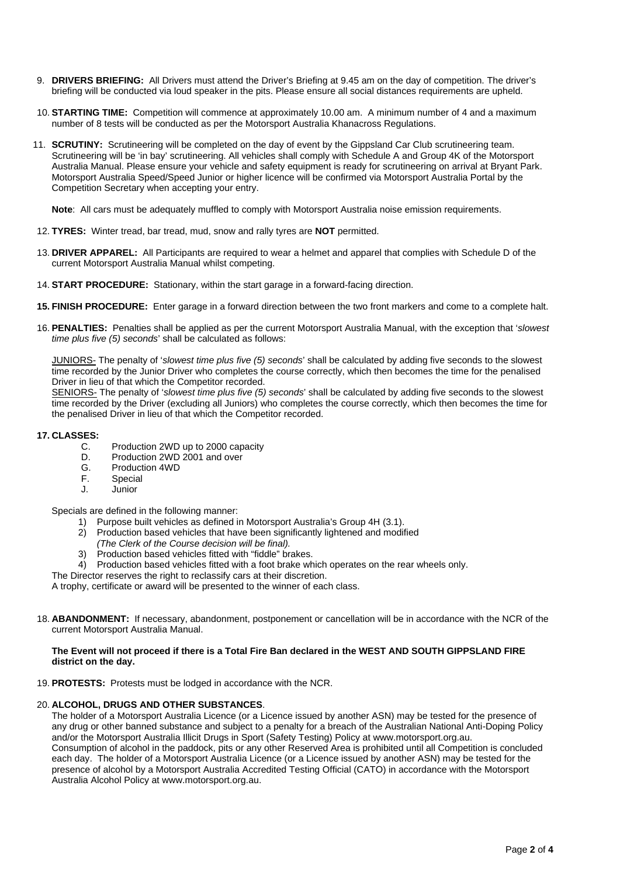- 9. **DRIVERS BRIEFING:** All Drivers must attend the Driver's Briefing at 9.45 am on the day of competition. The driver's briefing will be conducted via loud speaker in the pits. Please ensure all social distances requirements are upheld.
- 10. **STARTING TIME:** Competition will commence at approximately 10.00 am. A minimum number of 4 and a maximum number of 8 tests will be conducted as per the Motorsport Australia Khanacross Regulations.
- 11. **SCRUTINY:** Scrutineering will be completed on the day of event by the Gippsland Car Club scrutineering team. Scrutineering will be 'in bay' scrutineering. All vehicles shall comply with Schedule A and Group 4K of the Motorsport Australia Manual. Please ensure your vehicle and safety equipment is ready for scrutineering on arrival at Bryant Park. Motorsport Australia Speed/Speed Junior or higher licence will be confirmed via Motorsport Australia Portal by the Competition Secretary when accepting your entry.

**Note**: All cars must be adequately muffled to comply with Motorsport Australia noise emission requirements.

- 12. **TYRES:** Winter tread, bar tread, mud, snow and rally tyres are **NOT** permitted.
- 13. **DRIVER APPAREL:** All Participants are required to wear a helmet and apparel that complies with Schedule D of the current Motorsport Australia Manual whilst competing.
- 14. **START PROCEDURE:** Stationary, within the start garage in a forward-facing direction.
- **15. FINISH PROCEDURE:** Enter garage in a forward direction between the two front markers and come to a complete halt.
- 16. **PENALTIES:** Penalties shall be applied as per the current Motorsport Australia Manual, with the exception that '*slowest time plus five (5) seconds*' shall be calculated as follows:

JUNIORS- The penalty of '*slowest time plus five (5) seconds*' shall be calculated by adding five seconds to the slowest time recorded by the Junior Driver who completes the course correctly, which then becomes the time for the penalised Driver in lieu of that which the Competitor recorded.

SENIORS- The penalty of '*slowest time plus five (5) seconds*' shall be calculated by adding five seconds to the slowest time recorded by the Driver (excluding all Juniors) who completes the course correctly, which then becomes the time for the penalised Driver in lieu of that which the Competitor recorded.

# **17. CLASSES:**

- C. Production 2WD up to 2000 capacity<br>D. Production 2WD 2001 and over
- D. Production 2WD 2001 and over<br>G. Production 4WD
- G. Production 4WD<br>F. Special
- Special
- J. Junior

Specials are defined in the following manner:

- 1) Purpose built vehicles as defined in Motorsport Australia's Group 4H (3.1).
- 2) Production based vehicles that have been significantly lightened and modified
- *(The Clerk of the Course decision will be final).*
- Production based vehicles fitted with "fiddle" brakes.
- 4) Production based vehicles fitted with a foot brake which operates on the rear wheels only.

The Director reserves the right to reclassify cars at their discretion.

A trophy, certificate or award will be presented to the winner of each class.

18. **ABANDONMENT:** If necessary, abandonment, postponement or cancellation will be in accordance with the NCR of the current Motorsport Australia Manual.

# **The Event will not proceed if there is a Total Fire Ban declared in the WEST AND SOUTH GIPPSLAND FIRE district on the day.**

19. **PROTESTS:** Protests must be lodged in accordance with the NCR.

# 20. **ALCOHOL, DRUGS AND OTHER SUBSTANCES**.

The holder of a Motorsport Australia Licence (or a Licence issued by another ASN) may be tested for the presence of any drug or other banned substance and subject to a penalty for a breach of the Australian National Anti-Doping Policy and/or the Motorsport Australia Illicit Drugs in Sport (Safety Testing) Policy at [www.motorsport.org.au.](http://www.motorsport.org.au/) Consumption of alcohol in the paddock, pits or any other Reserved Area is prohibited until all Competition is concluded each day. The holder of a Motorsport Australia Licence (or a Licence issued by another ASN) may be tested for the presence of alcohol by a Motorsport Australia Accredited Testing Official (CATO) in accordance with the Motorsport Australia Alcohol Policy a[t www.motorsport.org.au.](http://www.motorsport.org.au/)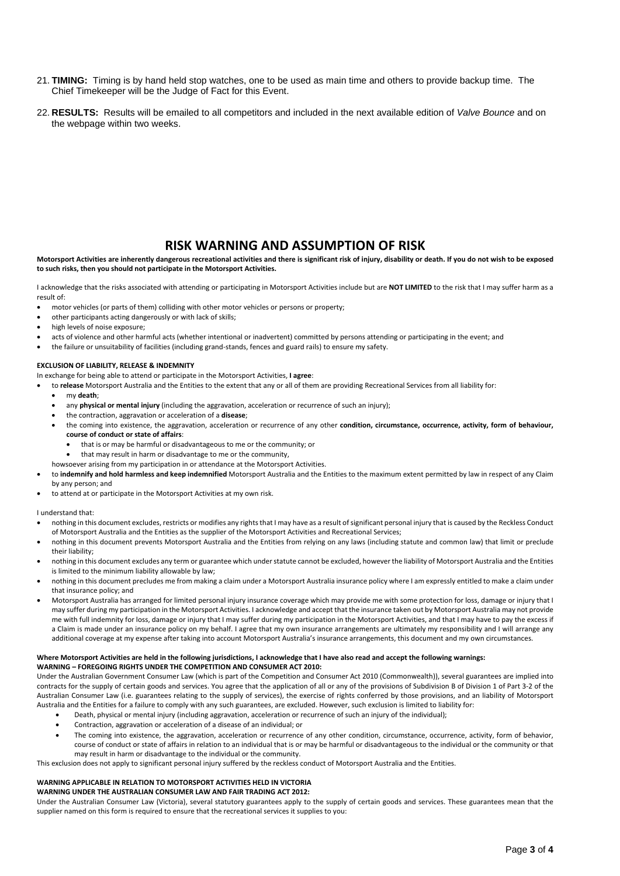- 21. **TIMING:** Timing is by hand held stop watches, one to be used as main time and others to provide backup time. The Chief Timekeeper will be the Judge of Fact for this Event.
- 22. **RESULTS:** Results will be emailed to all competitors and included in the next available edition of *Valve Bounce* and on the webpage within two weeks.

# **RISK WARNING AND ASSUMPTION OF RISK**

## **Motorsport Activities are inherently dangerous recreational activities and there is significant risk of injury, disability or death. If you do not wish to be exposed to such risks, then you should not participate in the Motorsport Activities.**

I acknowledge that the risks associated with attending or participating in Motorsport Activities include but are **NOT LIMITED** to the risk that I may suffer harm as a result of:

- motor vehicles (or parts of them) colliding with other motor vehicles or persons or property;
- other participants acting dangerously or with lack of skills;
- high levels of noise exposure:
- acts of violence and other harmful acts (whether intentional or inadvertent) committed by persons attending or participating in the event; and
- the failure or unsuitability of facilities (including grand-stands, fences and guard rails) to ensure my safety.

# **EXCLUSION OF LIABILITY, RELEASE & INDEMNITY**

In exchange for being able to attend or participate in the Motorsport Activities, **I agree**:

- to **release** Motorsport Australia and the Entities to the extent that any or all of them are providing Recreational Services from all liability for:
	- my **death**;
	- any **physical or mental injury** (including the aggravation, acceleration or recurrence of such an injury);
	- the contraction, aggravation or acceleration of a **disease**;
	- the coming into existence, the aggravation, acceleration or recurrence of any other **condition, circumstance, occurrence, activity, form of behaviour, course of conduct or state of affairs**:
		- that is or may be harmful or disadvantageous to me or the community; or
	- that may result in harm or disadvantage to me or the community,
	- howsoever arising from my participation in or attendance at the Motorsport Activities.
- to **indemnify and hold harmless and keep indemnified** Motorsport Australia and the Entities to the maximum extent permitted by law in respect of any Claim by any person; and
- to attend at or participate in the Motorsport Activities at my own risk.

## I understand that:

- nothing in this document excludes, restricts or modifies any rights that I may have as a result of significant personal injury that is caused by the Reckless Conduct of Motorsport Australia and the Entities as the supplier of the Motorsport Activities and Recreational Services;
- nothing in this document prevents Motorsport Australia and the Entities from relying on any laws (including statute and common law) that limit or preclude their liability;
- nothing in this document excludes any term or guarantee which under statute cannot be excluded, however the liability of Motorsport Australia and the Entities is limited to the minimum liability allowable by law;
- nothing in this document precludes me from making a claim under a Motorsport Australia insurance policy where I am expressly entitled to make a claim under that insurance policy; and
- Motorsport Australia has arranged for limited personal injury insurance coverage which may provide me with some protection for loss, damage or injury that I may suffer during my participation in the Motorsport Activities. I acknowledge and accept that the insurance taken out by Motorsport Australia may not provide me with full indemnity for loss, damage or injury that I may suffer during my participation in the Motorsport Activities, and that I may have to pay the excess if a Claim is made under an insurance policy on my behalf. I agree that my own insurance arrangements are ultimately my responsibility and I will arrange any additional coverage at my expense after taking into account Motorsport Australia's insurance arrangements, this document and my own circumstances.

## **Where Motorsport Activities are held in the following jurisdictions, I acknowledge that I have also read and accept the following warnings: WARNING – FOREGOING RIGHTS UNDER THE COMPETITION AND CONSUMER ACT 2010:**

Under the Australian Government Consumer Law (which is part of the Competition and Consumer Act 2010 (Commonwealth)), several guarantees are implied into contracts for the supply of certain goods and services. You agree that the application of all or any of the provisions of Subdivision B of Division 1 of Part 3-2 of the Australian Consumer Law (i.e. guarantees relating to the supply of services), the exercise of rights conferred by those provisions, and an liability of Motorsport Australia and the Entities for a failure to comply with any such guarantees, are excluded. However, such exclusion is limited to liability for:

- Death, physical or mental injury (including aggravation, acceleration or recurrence of such an injury of the individual);
- Contraction, aggravation or acceleration of a disease of an individual; or
- The coming into existence, the aggravation, acceleration or recurrence of any other condition, circumstance, occurrence, activity, form of behavior, course of conduct or state of affairs in relation to an individual that is or may be harmful or disadvantageous to the individual or the community or that may result in harm or disadvantage to the individual or the community.

This exclusion does not apply to significant personal injury suffered by the reckless conduct of Motorsport Australia and the Entities.

# **WARNING APPLICABLE IN RELATION TO MOTORSPORT ACTIVITIES HELD IN VICTORIA**

## **WARNING UNDER THE AUSTRALIAN CONSUMER LAW AND FAIR TRADING ACT 2012:**

Under the Australian Consumer Law (Victoria), several statutory guarantees apply to the supply of certain goods and services. These guarantees mean that the supplier named on this form is required to ensure that the recreational services it supplies to you: